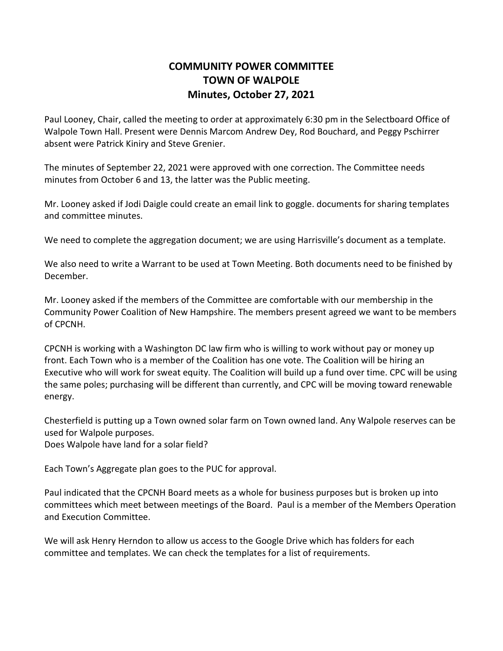## **COMMUNITY POWER COMMITTEE TOWN OF WALPOLE Minutes, October 27, 2021**

Paul Looney, Chair, called the meeting to order at approximately 6:30 pm in the Selectboard Office of Walpole Town Hall. Present were Dennis Marcom Andrew Dey, Rod Bouchard, and Peggy Pschirrer absent were Patrick Kiniry and Steve Grenier.

The minutes of September 22, 2021 were approved with one correction. The Committee needs minutes from October 6 and 13, the latter was the Public meeting.

Mr. Looney asked if Jodi Daigle could create an email link to goggle. documents for sharing templates and committee minutes.

We need to complete the aggregation document; we are using Harrisville's document as a template.

We also need to write a Warrant to be used at Town Meeting. Both documents need to be finished by December.

Mr. Looney asked if the members of the Committee are comfortable with our membership in the Community Power Coalition of New Hampshire. The members present agreed we want to be members of CPCNH.

CPCNH is working with a Washington DC law firm who is willing to work without pay or money up front. Each Town who is a member of the Coalition has one vote. The Coalition will be hiring an Executive who will work for sweat equity. The Coalition will build up a fund over time. CPC will be using the same poles; purchasing will be different than currently, and CPC will be moving toward renewable energy.

Chesterfield is putting up a Town owned solar farm on Town owned land. Any Walpole reserves can be used for Walpole purposes. Does Walpole have land for a solar field?

Each Town's Aggregate plan goes to the PUC for approval.

Paul indicated that the CPCNH Board meets as a whole for business purposes but is broken up into committees which meet between meetings of the Board. Paul is a member of the Members Operation and Execution Committee.

We will ask Henry Herndon to allow us access to the Google Drive which has folders for each committee and templates. We can check the templates for a list of requirements.